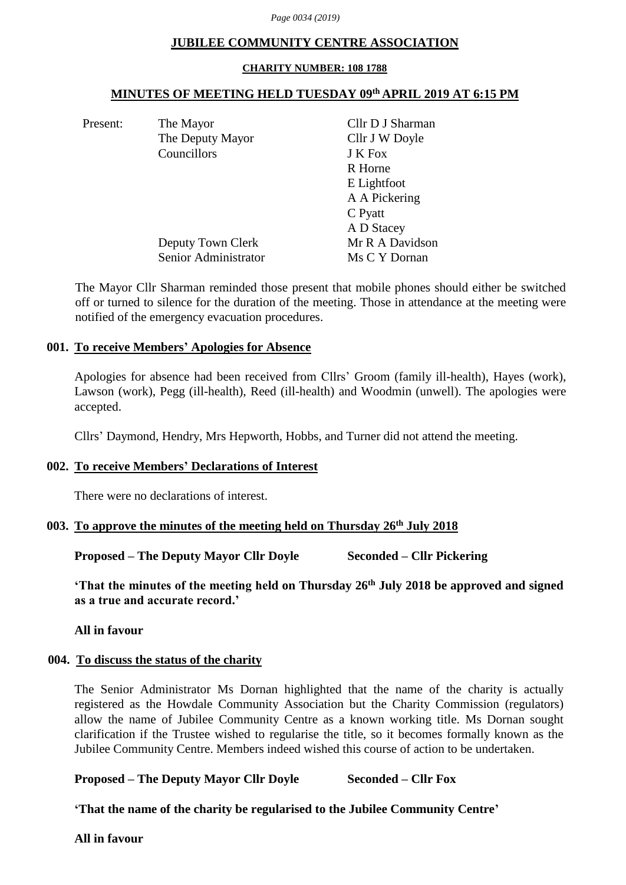### **JUBILEE COMMUNITY CENTRE ASSOCIATION**

#### **CHARITY NUMBER: 108 1788**

### **MINUTES OF MEETING HELD TUESDAY 09th APRIL 2019 AT 6:15 PM**

Present: The Mayor Cllr D J Sharman The Deputy Mayor Cllr J W Doyle Councillors J K Fox R Horne E Lightfoot A A Pickering C Pyatt A D Stacey Deputy Town Clerk Mr R A Davidson Senior Administrator Ms C Y Dornan

The Mayor Cllr Sharman reminded those present that mobile phones should either be switched off or turned to silence for the duration of the meeting. Those in attendance at the meeting were notified of the emergency evacuation procedures.

### **001. To receive Members' Apologies for Absence**

Apologies for absence had been received from Cllrs' Groom (family ill-health), Hayes (work), Lawson (work), Pegg (ill-health), Reed (ill-health) and Woodmin (unwell). The apologies were accepted.

Cllrs' Daymond, Hendry, Mrs Hepworth, Hobbs, and Turner did not attend the meeting.

### **002. To receive Members' Declarations of Interest**

There were no declarations of interest.

# **003. To approve the minutes of the meeting held on Thursday 26th July 2018**

**Proposed – The Deputy Mayor Cllr Doyle Seconded – Cllr Pickering**

**'That the minutes of the meeting held on Thursday 26th July 2018 be approved and signed as a true and accurate record.'**

**All in favour**

# **004. To discuss the status of the charity**

The Senior Administrator Ms Dornan highlighted that the name of the charity is actually registered as the Howdale Community Association but the Charity Commission (regulators) allow the name of Jubilee Community Centre as a known working title. Ms Dornan sought clarification if the Trustee wished to regularise the title, so it becomes formally known as the Jubilee Community Centre. Members indeed wished this course of action to be undertaken.

# **Proposed – The Deputy Mayor Cllr Doyle Seconded – Cllr Fox**

**'That the name of the charity be regularised to the Jubilee Community Centre'**

**All in favour**